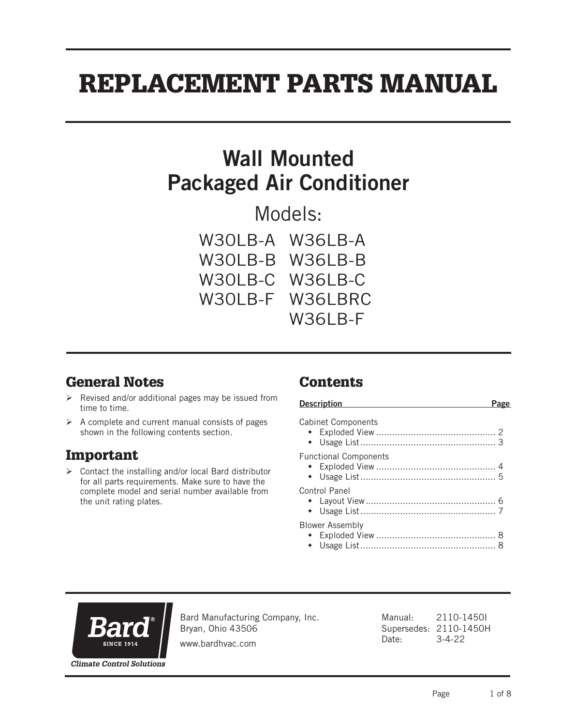# REPLACEMENT PARTS MANUAL

## Wall Mounted Packaged Air Conditioner

Models:

| W30LB-A W36LB-A |
|-----------------|
| W30LB-B W36LB-B |
| W30LB-C W36LB-C |
| W30LB-F W36LBRC |
| W36LB-F         |

## General Notes

- $\triangleright$  Revised and/or additional pages may be issued from time to time.
- $\triangleright$  A complete and current manual consists of pages shown in the following contents section.

## Important

 $\triangleright$  Contact the installing and/or local Bard distributor for all parts requirements. Make sure to have the complete model and serial number available from the unit rating plates.

## Contents

| <b>Description</b>           |  |
|------------------------------|--|
| <b>Cabinet Components</b>    |  |
| <b>Functional Components</b> |  |
| Control Panel                |  |
| <b>Blower Assembly</b>       |  |



Bard Manufacturing Company, Inc. Bryan, Ohio 43506

www.bardhvac.com

Manual: 2110-1450I Supersedes: 2110-1450H Date: 3-4-22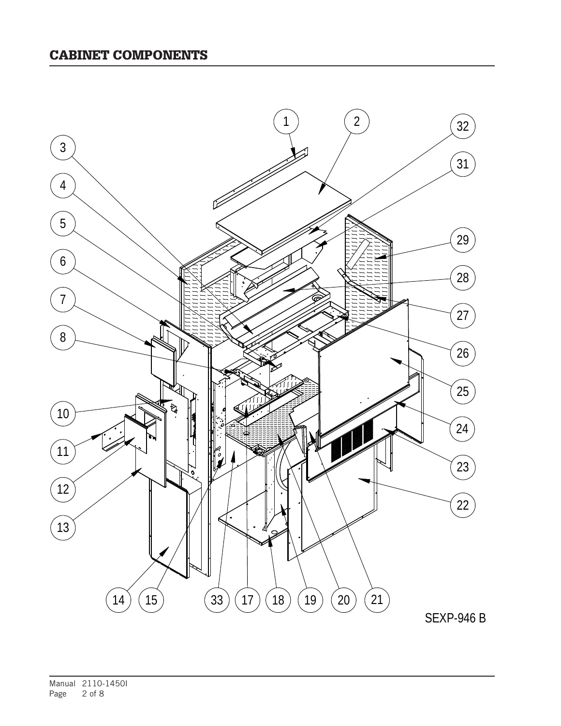#### CABINET COMPONENTS

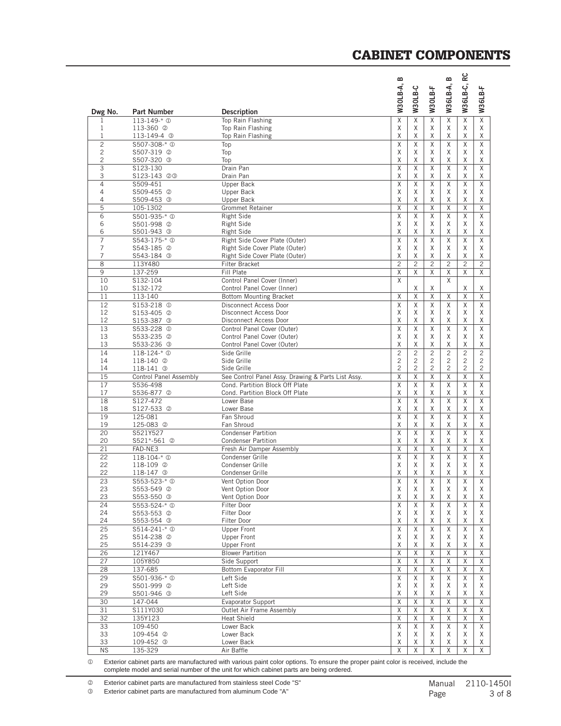#### CABINET COMPONENTS

| Dwg No.             | <b>Part Number</b>                                | <b>Description</b>                                 | <b>W30LB-A, B</b>                | W30LB-C             | W30LB-F                          | W36LB-A, B                       | W36LB-C, RC                  | W36LB-F             |
|---------------------|---------------------------------------------------|----------------------------------------------------|----------------------------------|---------------------|----------------------------------|----------------------------------|------------------------------|---------------------|
| 1                   | $113 - 149 - * ①$                                 | Top Rain Flashing                                  | X                                | X                   | X                                | Χ                                | Χ                            | $\overline{X}$      |
| $\mathbf{1}$        | 113-360 <sup>2</sup>                              | Top Rain Flashing                                  | X                                | X                   | X                                | Χ                                | Χ                            | Χ                   |
| 1                   | 113-149-4 <sup>3</sup>                            | Top Rain Flashing                                  | X                                | X                   | Χ                                | Χ                                | Χ                            | Χ                   |
| $\overline{c}$      | \$507-308-* <sup>0</sup>                          | Top                                                | X                                | X                   | X                                | X                                | $\overline{x}$               | X                   |
| $\overline{c}$      | S507-319 <sup>②</sup>                             | Top                                                | X                                | X                   | X                                | Χ                                | Χ                            | Χ                   |
| $\overline{c}$      | S507-320 <sup>3</sup>                             | Top                                                | X                                | X                   | X                                | Χ                                | Χ                            | Χ                   |
| $\overline{3}$      | S123-130                                          | Drain Pan                                          | X                                | X                   | X                                | X                                | X                            | Χ                   |
| 3<br>$\overline{4}$ | S123-143 @ 3                                      | Drain Pan                                          | X<br>X                           | X<br>X              | Χ<br>X                           | X<br>X                           | Χ<br>X                       | Χ<br>X              |
| 4                   | S509-451<br>S509-455 <sup>2</sup>                 | Upper Back<br>Upper Back                           | Χ                                | X                   | Χ                                | Χ                                | Χ                            | Χ                   |
| 4                   | S509-453 <sup>3</sup>                             | Upper Back                                         | Χ                                | Χ                   | Χ                                | Χ                                | Χ                            | Χ                   |
| 5                   | 105-1302                                          | Grommet Retainer                                   | Χ                                | χ                   | Χ                                | Χ                                | Χ                            | Χ                   |
| 6                   | S501-935-* <sup>0</sup>                           | <b>Right Side</b>                                  | X                                | X                   | X                                | X                                | Χ                            | X                   |
| 6                   | S501-998 2                                        | Right Side                                         | X                                | Χ                   | Χ                                | Χ                                | Χ                            | Χ                   |
| 6                   | S501-943 <sup>3</sup>                             | Right Side                                         | X                                | X                   | Χ                                | X                                | Χ                            | Χ                   |
| 7                   | S543-175-* <sup>0</sup>                           | Right Side Cover Plate (Outer)                     | X                                | X                   | Χ                                | Χ                                | Χ                            | X                   |
| $\overline{7}$      | S543-185 <sup>©</sup>                             | Right Side Cover Plate (Outer)                     | X                                | X                   | X                                | X                                | Χ                            | Χ                   |
| 7                   | S543-184 3                                        | Right Side Cover Plate (Outer)                     | X<br>$\overline{c}$              | X                   | X                                | X                                | Χ                            | Χ                   |
| 8<br>9              | 113Y480<br>137-259                                | <b>Filter Bracket</b><br>Fill Plate                | X                                | $\overline{c}$<br>X | $\overline{c}$<br>X              | $\overline{c}$<br>X              | $\overline{c}$<br>X          | $\overline{c}$<br>X |
| 10                  | S132-104                                          | Control Panel Cover (Inner)                        | X                                |                     |                                  | X                                |                              |                     |
| 10                  | S132-172                                          | Control Panel Cover (Inner)                        |                                  | Χ                   | X                                |                                  | Χ                            | X                   |
| 11                  | 113-140                                           | <b>Bottom Mounting Bracket</b>                     | X                                | Χ                   | Χ                                | Χ                                | Χ                            | Χ                   |
| 12                  | S153-218 <sup>①</sup>                             | Disconnect Access Door                             | X                                | X                   | X                                | X                                | Χ                            | Χ                   |
| 12                  | S153-405 <sup>@</sup>                             | Disconnect Access Door                             | X                                | X                   | Χ                                | Χ                                | Χ                            | Χ                   |
| 12                  | S153-387 <sup>3</sup>                             | Disconnect Access Door                             | X                                | X                   | Χ                                | Χ                                | Χ                            | Χ                   |
| 13                  | \$533-228 <sup>①</sup>                            | Control Panel Cover (Outer)                        | X                                | X                   | X                                | X                                | Χ                            | X                   |
| 13                  | S533-235 <sup>@</sup>                             | Control Panel Cover (Outer)                        | X                                | Χ                   | Χ                                | Χ                                | Χ                            | Χ                   |
| 13                  | S533-236 <sup>3</sup>                             | Control Panel Cover (Outer)                        | X                                | X                   | X                                | Χ                                | Χ                            | Χ                   |
| 14                  | $118-124$ <sup>*</sup> $\odot$                    | Side Grille                                        | $\overline{c}$                   | $\overline{c}$      | $\overline{c}$                   | $\overline{c}$                   | $\overline{c}$               | $\overline{c}$      |
| 14<br>14            | 118-140 <sup>2</sup>                              | Side Grille<br>Side Grille                         | $\overline{c}$<br>$\overline{c}$ | $\overline{2}$<br>2 | $\overline{c}$<br>$\overline{c}$ | $\overline{c}$<br>$\overline{c}$ | $\overline{c}$<br>2          | 2<br>2              |
| 15                  | 118-141 <b>3</b><br><b>Control Panel Assembly</b> | See Control Panel Assy. Drawing & Parts List Assy. | X                                | X                   | Χ                                | Χ                                | Χ                            | Χ                   |
| 17                  | S536-498                                          | Cond. Partition Block Off Plate                    | X                                | X                   | X                                | X                                | X                            | X                   |
| 17                  | S536-877 <sup>©</sup>                             | Cond. Partition Block Off Plate                    | X                                | Χ                   | Χ                                | Χ                                | Χ                            | Χ                   |
| 18                  | S127-472                                          | Lower Base                                         | $\overline{X}$                   | $\overline{X}$      | $\overline{X}$                   | Χ                                | $\overline{X}$               | X                   |
| 18                  | S127-533 2                                        | Lower Base                                         | Χ                                | Χ                   | Χ                                | Χ                                | Χ                            | Χ                   |
| 19                  | 125-081                                           | Fan Shroud                                         | X                                | X                   | X                                | X                                | X                            | X                   |
| 19                  | 125-083 <sup>©</sup>                              | Fan Shroud                                         | Χ                                | Χ                   | Χ                                | Χ                                | Χ                            | Χ                   |
| 20                  | S521Y527                                          | <b>Condenser Partition</b>                         | X                                | X                   | X                                | Χ                                | Χ                            | X                   |
| 20                  | S521*-561 2                                       | <b>Condenser Partition</b>                         | Χ                                | Χ                   | Χ                                | Χ                                | Χ                            | Χ                   |
| 21                  | FAD-NE3<br>$118 - 104 - * ①$                      | Fresh Air Damper Assembly                          | X<br>X                           | X<br>X              | Χ<br>X                           | Χ                                | Χ<br>$\overline{X}$          | Χ<br>X              |
| 22<br>22            | 118-109 2                                         | Condenser Grille<br>Condenser Grille               | X                                | X                   | X                                | Χ<br>X                           | X                            | Χ                   |
| 22                  | 118-147 <sup>3</sup>                              | <b>Condenser Grille</b>                            | X                                | Χ                   | Χ                                | X                                | Χ                            | Χ                   |
| 23                  | \$553-523-* <sup>0</sup>                          | Vent Option Door                                   | X                                | X                   | X                                | X                                | X                            | X                   |
| 23                  | S553-549 <sup>©</sup>                             | Vent Option Door                                   | Χ                                | Χ                   | Χ                                | Χ                                | Χ                            | Χ                   |
| 23                  | S553-550 <sup>3</sup>                             | Vent Option Door                                   | X                                | Χ                   | Χ                                | Χ                                | Χ                            | Χ                   |
| 24                  | \$553-524-* 0                                     | Filter Door                                        | $\overline{\mathsf{X}}$          | X                   | $\mathsf X$                      | Χ                                | $\overline{\mathsf{X}}$      | X                   |
| 24                  | S553-553 @                                        | Filter Door                                        | Χ                                | X                   | Χ                                | Χ                                | Χ                            | Χ                   |
| 24                  | S553-554 <sup>3</sup>                             | Filter Door                                        | Χ                                | Χ                   | Χ                                | Χ                                | Χ                            | Χ                   |
| 25                  | S514-241-* 1                                      | Upper Front                                        | X                                | X                   | X                                | Χ                                | Χ                            | X                   |
| 25<br>25            | S514-238 2<br>S514-239 3                          | <b>Upper Front</b><br><b>Upper Front</b>           | Χ<br>Χ                           | Χ<br>X              | Χ<br>Χ                           | Χ<br>Χ                           | X<br>Χ                       | Χ<br>Χ              |
| 26                  | 121Y467                                           | <b>Blower Partition</b>                            | X                                | X                   | X                                | Χ                                | Χ                            | Χ                   |
| 27                  | 105Y850                                           | Side Support                                       | X                                | X                   | Χ                                | Χ                                | Χ                            | Χ                   |
| 28                  | 137-685                                           | Bottom Evaporator Fill                             | X                                | X                   | Χ                                | Χ                                | Χ                            | Χ                   |
| 29                  | \$501-936-* <sup>0</sup>                          | Left Side                                          | X                                | X                   | X                                | Χ                                | Χ                            | X                   |
| 29                  | S501-999 2                                        | Left Side                                          | Χ                                | X                   | Χ                                | Χ                                | Χ                            | Χ                   |
| 29                  | S501-946 <sup>3</sup>                             | Left Side                                          | Χ                                | Χ                   | Χ                                | Χ                                | Χ                            | Χ                   |
| 30                  | 147-044                                           | Evaporator Support                                 | X                                | X                   | X                                | X                                | Χ                            | Χ                   |
| 31                  | S111Y030                                          | Outlet Air Frame Assembly                          | X                                | Χ                   | Χ                                | Χ                                | Χ                            | Χ                   |
| 32                  | 135Y123                                           | <b>Heat Shield</b>                                 | X                                | Χ                   | Χ                                | Χ                                | Χ                            | Χ                   |
| 33                  | 109-450                                           | Lower Back                                         | X                                | X                   | Χ                                | Χ                                | Χ                            | Χ                   |
| 33<br>33            | 109-454 2                                         | Lower Back<br>Lower Back                           | Χ<br>Χ                           | X                   | X                                | Χ                                | Χ                            | X                   |
| N <sub>S</sub>      | 109-452 <sup>3</sup><br>135-329                   | Air Baffle                                         | Χ                                | Χ<br>X              | X<br>Χ                           | X<br>Χ                           | Χ<br>$\overline{\mathsf{X}}$ | Χ<br>X              |
|                     |                                                   |                                                    |                                  |                     |                                  |                                  |                              |                     |

 Exterior cabinet parts are manufactured with various paint color options. To ensure the proper paint color is received, include the complete model and serial number of the unit for which cabinet parts are being ordered.

 $@$  Exterior cabinet parts are manufactured from stainless steel Code "S"

Exterior cabinet parts are manufactured from aluminum Code "A"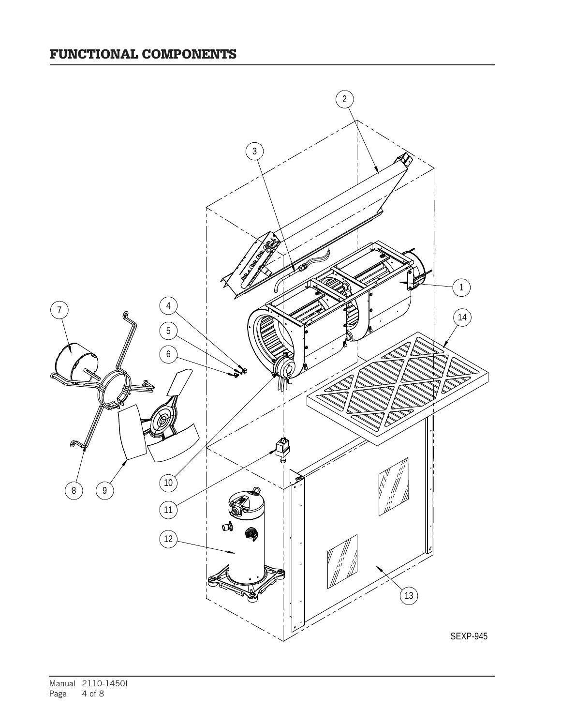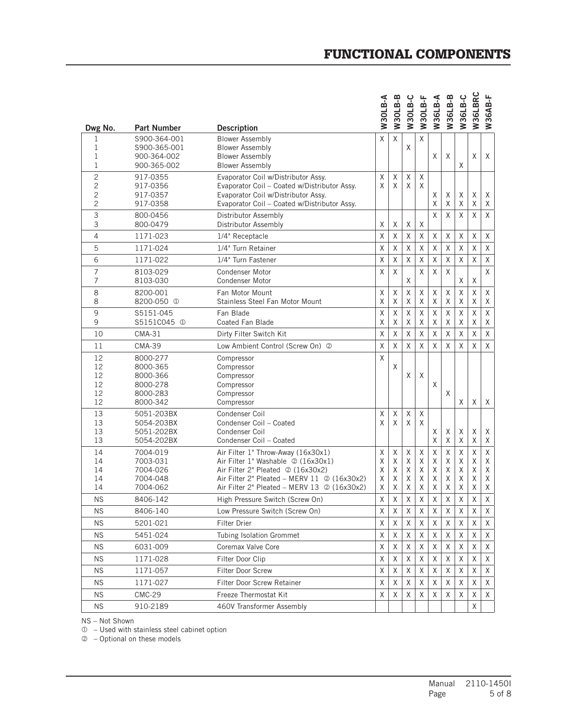## FUNCTIONAL COMPONENTS

|                |                                     |                                                                          | <b>W30LB-A</b> | W30LB-B      | W30LB-C      | <b>W30LB-F</b> | W36LB-A | W36LB-B | W36LB-C      | W36LBRC | W36AB-F          |
|----------------|-------------------------------------|--------------------------------------------------------------------------|----------------|--------------|--------------|----------------|---------|---------|--------------|---------|------------------|
| Dwg No.        | <b>Part Number</b>                  | <b>Description</b>                                                       |                |              |              |                |         |         |              |         |                  |
| 1<br>1         | S900-364-001<br>S900-365-001        | <b>Blower Assembly</b><br><b>Blower Assembly</b>                         | Χ              | X            | X            | $\sf X$        |         |         |              |         |                  |
| 1              | 900-364-002                         | <b>Blower Assembly</b>                                                   |                |              |              |                | X       | X       |              | X       | X                |
| 1              | 900-365-002                         | <b>Blower Assembly</b>                                                   |                |              |              |                |         |         | X            |         |                  |
| $\overline{c}$ | 917-0355                            | Evaporator Coil w/Distributor Assy.                                      | X              | Χ            | Χ            | Χ              |         |         |              |         |                  |
| $\overline{c}$ | 917-0356                            | Evaporator Coil - Coated w/Distributor Assy.                             | X              | X            | $\times$     | X              |         |         |              |         |                  |
| 2              | 917-0357                            | Evaporator Coil w/Distributor Assy.                                      |                |              |              |                | Χ<br>X  | Χ       | X            | Χ       | Χ                |
| 2              | 917-0358                            | Evaporator Coil - Coated w/Distributor Assy.                             |                |              |              |                |         | X       | X            | X       | X                |
| 3<br>3         | 800-0456<br>800-0479                | Distributor Assembly<br>Distributor Assembly                             | X              | Χ            | Χ            | X              | X       | X       | X            | X       | X                |
| $\overline{4}$ | 1171-023                            | 1/4" Receptacle                                                          | X              | $\sf X$      | Χ            | Χ              | X       | X       | X            | X       | X                |
| 5              | 1171-024                            | 1/4" Turn Retainer                                                       | Χ              | Χ            | Χ            | Χ              | X       | Χ       | Χ            | Χ       | $\mathsf X$      |
| 6              | 1171-022                            | 1/4" Turn Fastener                                                       | Χ              | Χ            | Χ            | $\sf X$        | Χ       | X       | Χ            | Χ       | Χ                |
| $\overline{7}$ | 8103-029                            | Condenser Motor                                                          | X              | $\times$     |              | X              | X       | X       |              |         | X                |
| 7              | 8103-030                            | Condenser Motor                                                          |                |              | X            |                |         |         | Χ            | X       |                  |
| 8              | 8200-001                            | Fan Motor Mount                                                          | Χ              | Χ            | Χ            | Χ              | X       | Χ       | $\sf X$      | Χ       | Χ                |
| 8              | 8200-050 <sup>①</sup>               | Stainless Steel Fan Motor Mount                                          | X              | X            | Χ            | χ              | X       | Χ       | Χ            | Χ       | Χ                |
| 9<br>9         | S5151-045<br>S5151C045 <sup>0</sup> | Fan Blade<br>Coated Fan Blade                                            | X<br>Χ         | $\sf X$<br>Χ | $\sf X$<br>Χ | $\sf X$<br>X   | Χ<br>Χ  | Χ<br>X  | $\sf X$<br>Χ | Χ<br>X  | Χ<br>Χ           |
| 10             | $CMA-31$                            | Dirty Filter Switch Kit                                                  | X              | $\sf X$      | $\sf X$      | X              | Χ       | Χ       | $\sf X$      | X       | $\sf X$          |
| 11             | <b>CMA-39</b>                       | Low Ambient Control (Screw On) 2                                         | X              | $\sf X$      | Χ            | X              | X       | X       | X            | Χ       | X                |
| 12             | 8000-277                            | Compressor                                                               | X              |              |              |                |         |         |              |         |                  |
| 12             | 8000-365                            | Compressor                                                               |                | X            |              |                |         |         |              |         |                  |
| 12             | 8000-366                            | Compressor                                                               |                |              | X            | $\times$       |         |         |              |         |                  |
| 12<br>12       | 8000-278<br>8000-283                | Compressor<br>Compressor                                                 |                |              |              |                | Χ       | X       |              |         |                  |
| 12             | 8000-342                            | Compressor                                                               |                |              |              |                |         |         | Χ            | Χ       | Χ                |
| 13             | 5051-203BX                          | Condenser Coil                                                           | Χ              | X            | Χ            | X              |         |         |              |         |                  |
| 13             | 5054-203BX                          | Condenser Coil - Coated                                                  | X              | X            | X            | X              |         |         |              |         |                  |
| 13             | 5051-202BX                          | Condenser Coil                                                           |                |              |              |                | X       | Χ       | Χ            | Χ       | Χ                |
| 13             | 5054-202BX                          | Condenser Coil - Coated                                                  |                |              |              |                | X       | X       | Χ            | X       | Χ                |
| 14<br>14       | 7004-019<br>7003-031                | Air Filter 1" Throw-Away (16x30x1)<br>Air Filter 1" Washable 2 (16x30x1) | Χ<br>Χ         | Χ<br>X       | Χ<br>Χ       | Χ<br>X         | X<br>X  | Χ<br>X  | Χ<br>X       | Χ<br>X  | $\mathsf X$<br>Χ |
| 14             | 7004-026                            | Air Filter 2" Pleated 2 (16x30x2)                                        | Χ              | X            | Χ            | X              | X       | X       | X            | Χ       | Χ                |
| 14             | 7004-048                            | Air Filter 2" Pleated - MERV 11 @ (16x30x2)                              | Χ              | X            | Χ            | Χ              | X       | Χ       | X            | Χ       | X                |
| 14             | 7004-062                            | Air Filter 2" Pleated - MERV 13 @ (16x30x2)                              | X              | Χ            | $\mathsf X$  | $\mathsf X$    | Χ       | Χ       | Χ            | Χ       | Χ                |
| <b>NS</b>      | 8406-142                            | High Pressure Switch (Screw On)                                          | Χ              | $\mathsf{X}$ | Χ            | Χ              | Χ       | Χ       | $\sf X$      | X       | Χ                |
| <b>NS</b>      | 8406-140                            | Low Pressure Switch (Screw On)                                           | Χ              | Χ            | Χ            | X              | Χ       | X       | Χ            | Χ       | Χ                |
| <b>NS</b>      | 5201-021                            | <b>Filter Drier</b>                                                      | Χ              | Χ            | Χ            | X              | Χ       | Χ       | Χ            | Χ       | Χ                |
| <b>NS</b>      | 5451-024                            | Tubing Isolation Grommet                                                 | X              | Χ            | X            | Χ              | Χ       | Χ       | Χ            | Χ       | Χ                |
| <b>NS</b>      | 6031-009                            | Coremax Valve Core                                                       | X              | Χ            | X            | Χ              | Χ       | X       | Χ            | Χ       | X                |
| <b>NS</b>      | 1171-028                            | Filter Door Clip                                                         | Χ              | Χ            | X            | Χ              | Χ       | X       | X            | Χ       | X                |
| <b>NS</b>      | 1171-057                            | Filter Door Screw                                                        | X              | X            | X            | X              | X       | X       | Χ            | X       | X                |
| <b>NS</b>      | 1171-027                            | Filter Door Screw Retainer                                               | X              | Χ            | X            | X              | Χ       | Χ       | Χ            | X       | X                |
| <b>NS</b>      | <b>CMC-29</b>                       | Freeze Thermostat Kit                                                    | Χ              | X            | Χ            | X              | Χ       | Χ       | Χ            | Χ       | X                |
| <b>NS</b>      | 910-2189                            | 460V Transformer Assembly                                                |                |              |              |                |         |         |              | Χ       |                  |

NS – Not Shown

 $<sup>0</sup>$  – Used with stainless steel cabinet option</sup>

– Optional on these models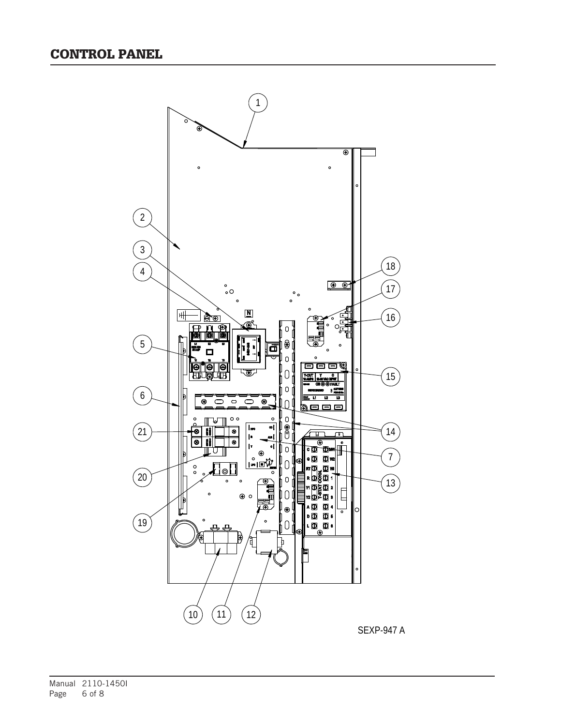

Manual 2110-1450I<br>Page 6 of 8 6 of 8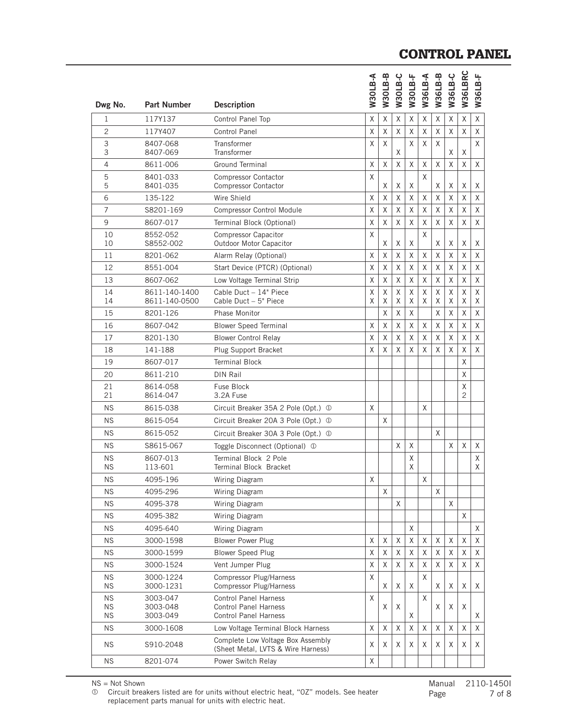## CONTROL PANEL

|                        |                        |                                                                         | <b>N30LB-A</b> | B-B<br>W30LI | W30LB-C | W30LB-F  | W36LB-A | W36LB-B | W36LB-C  | W36LBRC  | W36LB-F  |
|------------------------|------------------------|-------------------------------------------------------------------------|----------------|--------------|---------|----------|---------|---------|----------|----------|----------|
| Dwg No.                | <b>Part Number</b>     | <b>Description</b>                                                      |                |              |         |          |         |         |          |          |          |
| $\mathbf{1}$           | 117Y137                | Control Panel Top                                                       | X              | Χ            | X       | Χ        | X       | Χ       | X        | Χ        | X        |
| $\overline{2}$         | 117Y407                | <b>Control Panel</b>                                                    | X              | Χ            | X       | X        | Χ       | Χ       | X        | $\times$ | X        |
| $\mathsf 3$<br>3       | 8407-068<br>8407-069   | Transformer<br>Transformer                                              | X              | X            | X       | X        | X       | X       | Χ        | Χ        | X        |
| 4                      | 8611-006               | Ground Terminal                                                         | X              | X            | X       | X        | X       | X       | X        | X        | X        |
| 5<br>5                 | 8401-033<br>8401-035   | <b>Compressor Contactor</b><br><b>Compressor Contactor</b>              | X              | Χ            | Χ       | Χ        | X       | Χ       | Χ        | Χ        | Χ        |
| 6                      | 135-122                | Wire Shield                                                             | X              | Χ            | X       | X        | X       | X       | X        | X        | X        |
| $\overline{7}$         | S8201-169              | <b>Compressor Control Module</b>                                        | X              | Χ            | χ       | X        | X       | X       | Χ        | X        | X        |
| 9                      | 8607-017               | Terminal Block (Optional)                                               | X              | Χ            | X       | X        | X       | X       | X        | X        | X        |
| 10<br>10               | 8552-052<br>S8552-002  | Compressor Capacitor<br>Outdoor Motor Capacitor                         | X              | Χ            | Χ       | Χ        | X       | Χ       | Χ        | Χ        | Χ        |
| 11                     | 8201-062               | Alarm Relay (Optional)                                                  | X              | Χ            | X       | Χ        | X       | X       | X        | X        | X        |
| 12                     | 8551-004               | Start Device (PTCR) (Optional)                                          | X              | Χ            | Χ       | Χ        | Χ       | Χ       | Χ        | Χ        | Χ        |
| 13                     | 8607-062               | Low Voltage Terminal Strip                                              | X              | Χ            | Χ       | Χ        | Χ       | Χ       | $\times$ | $\times$ | $\times$ |
| 14                     | 8611-140-1400          | Cable Duct - 14" Piece                                                  | Χ              | Χ            | χ       | X        | Χ       | X       | X        | X        | X        |
| 14                     | 8611-140-0500          | Cable Duct - 5" Piece                                                   | X              | Χ            | X       | X        | X       | Χ       | X        | X        | X        |
| 15                     | 8201-126               | Phase Monitor                                                           |                | X            | X       | $\times$ |         | X       | X        | X        | $\times$ |
| 16                     | 8607-042               | <b>Blower Speed Terminal</b>                                            | X              | Χ            | χ       | X        | Χ       | Χ       | X        | X        | Χ        |
| 17                     | 8201-130               | <b>Blower Control Relay</b>                                             | X              | Χ            | X       | X        | X       | Χ       | X        | X        | X        |
| 18                     | 141-188                | Plug Support Bracket                                                    | X              | Χ            | X       | X        | X       | X       | X        | X        | X        |
| 19                     | 8607-017               | <b>Terminal Block</b>                                                   |                |              |         |          |         |         |          | $\sf X$  |          |
| 20                     | 8611-210               | <b>DIN Rail</b>                                                         |                |              |         |          |         |         |          | X        |          |
| 21<br>21               | 8614-058<br>8614-047   | Fuse Block<br>3.2A Fuse                                                 |                |              |         |          |         |         |          | Χ<br>2   |          |
| <b>NS</b>              | 8615-038               | Circuit Breaker 35A 2 Pole (Opt.) 1                                     | X              |              |         |          | X       |         |          |          |          |
| <b>NS</b>              | 8615-054               | Circuit Breaker 20A 3 Pole (Opt.) 1                                     |                | Χ            |         |          |         |         |          |          |          |
| <b>NS</b>              | 8615-052               | Circuit Breaker 30A 3 Pole (Opt.) 1                                     |                |              |         |          |         | X       |          |          |          |
| <b>NS</b>              | S8615-067              | Toggle Disconnect (Optional) ①                                          |                |              | X       | X        |         |         | X        | X        | X        |
| <b>NS</b>              | 8607-013               | Terminal Block 2 Pole                                                   |                |              |         | X        |         |         |          |          | X        |
| <b>NS</b>              | 113-601                | Terminal Block Bracket                                                  |                |              |         | X        |         |         |          |          | X        |
| <b>NS</b>              | 4095-196               | Wiring Diagram                                                          | Χ              |              |         |          | х       |         |          |          |          |
| <b>NS</b>              | 4095-296               | Wiring Diagram                                                          |                | X            |         |          |         | X       |          |          |          |
| <b>NS</b>              | 4095-378               | Wiring Diagram                                                          |                |              | Χ       |          |         |         | X        |          |          |
| <b>NS</b>              | 4095-382               | Wiring Diagram                                                          |                |              |         |          |         |         |          | X        |          |
| <b>NS</b>              | 4095-640               | Wiring Diagram                                                          |                |              |         | X        |         |         |          |          | X        |
| <b>NS</b>              | 3000-1598              | <b>Blower Power Plug</b>                                                | X              | Χ            | Χ       | Χ        | Χ       | Χ       | Χ        | Χ        | Χ        |
| <b>NS</b>              | 3000-1599              | <b>Blower Speed Plug</b>                                                | X              | Χ            | X       | Χ        | X       | Χ       | X        | Χ        | X        |
| <b>NS</b>              | 3000-1524              | Vent Jumper Plug                                                        | X              | Χ            | χ       | X        | X       | X       | X        | X        | X        |
| <b>NS</b><br><b>NS</b> | 3000-1224<br>3000-1231 | Compressor Plug/Harness<br>Compressor Plug/Harness                      | X              | Χ            | Χ       | Χ        | X       | X       | X        | Χ        | Χ        |
| <b>NS</b>              | 3003-047               | <b>Control Panel Harness</b>                                            | X              |              |         |          | X       |         |          |          |          |
| <b>NS</b><br>ΝS        | 3003-048<br>3003-049   | <b>Control Panel Harness</b><br><b>Control Panel Harness</b>            |                | Χ            | Χ       | Χ        |         | Χ       | Χ        | Χ        | Χ        |
| ΝS                     | 3000-1608              | Low Voltage Terminal Block Harness                                      | Χ              | Χ            | Χ       | Χ        | Χ       | Χ       | Χ        | Χ        | Χ        |
| NS.                    | S910-2048              | Complete Low Voltage Box Assembly<br>(Sheet Metal, LVTS & Wire Harness) | Χ              | Χ            | Χ       | Χ        | Χ       | Χ       | Χ        | Χ        | Χ        |
| NS.                    | 8201-074               | Power Switch Relay                                                      | Χ              |              |         |          |         |         |          |          |          |
|                        |                        |                                                                         |                |              |         |          |         |         |          |          |          |

NS = Not Shown

 Circuit breakers listed are for units without electric heat, "0Z" models. See heater replacement parts manual for units with electric heat.

Manual 2110-14501<br>Page 7 of 8 7 of 8